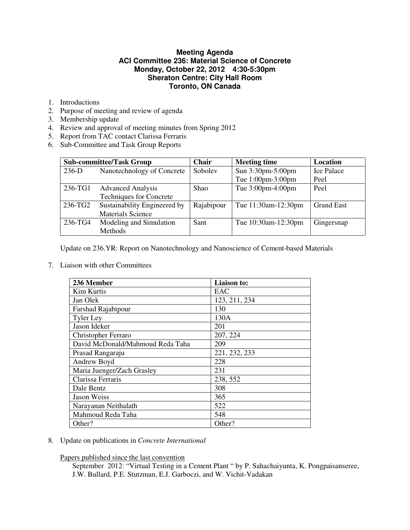# **Meeting Agenda ACI Committee 236: Material Science of Concrete Monday, October 22, 2012 4:30-5:30pm Sheraton Centre: City Hall Room Toronto, ON Canada**

- 1. Introductions
- 2. Purpose of meeting and review of agenda
- 3. Membership update
- 4. Review and approval of meeting minutes from Spring 2012
- 5. Report from TAC contact Clarissa Ferraris
- 6. Sub-Committee and Task Group Reports

| <b>Sub-committee/Task Group</b> |                                | <b>Chair</b> | <b>Meeting time</b> | Location          |
|---------------------------------|--------------------------------|--------------|---------------------|-------------------|
| $236-D$                         | Nanotechnology of Concrete     | Sobolev      | Sun 3:30pm-5:00pm   | <b>Ice Palace</b> |
|                                 |                                |              | Tue 1:00pm-3:00pm   | Peel              |
| 236-TG1                         | <b>Advanced Analysis</b>       | <b>Shao</b>  | Tue 3:00pm-4:00pm   | Peel              |
|                                 | <b>Techniques for Concrete</b> |              |                     |                   |
| 236-TG2                         | Sustainability Engineered by   | Rajabipour   | Tue 11:30am-12:30pm | <b>Grand East</b> |
|                                 | <b>Materials Science</b>       |              |                     |                   |
| 236-TG4                         | Modeling and Simulation        | Sant         | Tue 10:30am-12:30pm | Gingersnap        |
|                                 | Methods                        |              |                     |                   |

Update on 236.YR: Report on Nanotechnology and Nanoscience of Cement-based Materials

7. Liaison with other Committees

| 236 Member                       | Liaison to:   |
|----------------------------------|---------------|
| Kim Kurtis                       | EAC           |
| Jan Olek                         | 123, 211, 234 |
| Farshad Rajabipour               | 130           |
| <b>Tyler Ley</b>                 | 130A          |
| Jason Ideker                     | 201           |
| <b>Christopher Ferraro</b>       | 207, 224      |
| David McDonald/Mahmoud Reda Taha | 209           |
| Prasad Rangaraju                 | 221, 232, 233 |
| Andrew Boyd                      | 228           |
| Maria Juenger/Zach Grasley       | 231           |
| Clarissa Ferraris                | 238, 552      |
| Dale Bentz                       | 308           |
| Jason Weiss                      | 365           |
| Narayanan Neithalath             | 522           |
| Mahmoud Reda Taha                | 548           |
| Other?                           | Other?        |

8. Update on publications in *Concrete International*

Papers published since the last convention

September 2012: "Virtual Testing in a Cement Plant " by P. Sahachaiyunta, K. Pongpaisanseree, J.W. Bullard, P.E. Stutzman, E.J. Garboczi, and W. Vichit-Vadakan